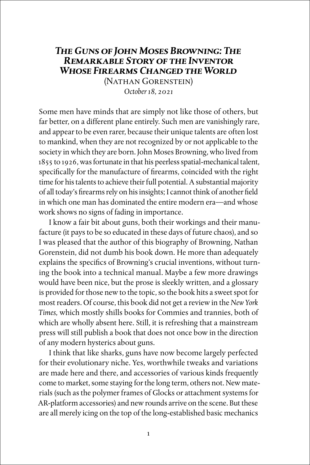## *The Guns of John Moses Browning: The Remarkable Story of the Inventor Whose Firearms Changed the World* (Nathan Gorenstein)

*October 18, 2021*

Some men have minds that are simply not like those of others, but far better, on a different plane entirely. Such men are vanishingly rare, and appear to be even rarer, because their unique talents are often lost to mankind, when they are not recognized by or not applicable to the society in which they are born. John Moses Browning, who lived from 1855 to 1926, was fortunate in that his peerless spatial-mechanical talent, specifically for the manufacture of firearms, coincided with the right time for his talents to achieve their full potential. A substantial majority of all today's firearms rely on his insights; I cannot think of another field in which one man has dominated the entire modern era—and whose work shows no signs of fading in importance.

I know a fair bit about guns, both their workings and their manufacture (it pays to be so educated in these days of future chaos), and so I was pleased that the author of this biography of Browning, Nathan Gorenstein, did not dumb his book down. He more than adequately explains the specifics of Browning's crucial inventions, without turning the book into a technical manual. Maybe a few more drawings would have been nice, but the prose is sleekly written, and a glossary is provided for those new to the topic, so the book hits a sweet spot for most readers. Of course, this book did not get a review in the *New York Times,* which mostly shills books for Commies and trannies, both of which are wholly absent here. Still, it is refreshing that a mainstream press will still publish a book that does not once bow in the direction of any modern hysterics about guns.

I think that like sharks, guns have now become largely perfected for their evolutionary niche. Yes, worthwhile tweaks and variations are made here and there, and accessories of various kinds frequently come to market, some staying for the long term, others not. New materials (such as the polymer frames of Glocks or attachment systems for AR-platform accessories) and new rounds arrive on the scene. But these are all merely icing on the top of the long-established basic mechanics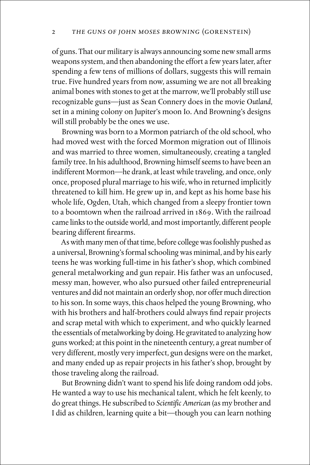of guns. That our military is always announcing some new small arms weapons system, and then abandoning the effort a few years later, after spending a few tens of millions of dollars, suggests this will remain true. Five hundred years from now, assuming we are not all breaking animal bones with stones to get at the marrow, we'll probably still use recognizable guns—just as Sean Connery does in the movie *Outland,*  set in a mining colony on Jupiter's moon Io. And Browning's designs will still probably be the ones we use.

Browning was born to a Mormon patriarch of the old school, who had moved west with the forced Mormon migration out of Illinois and was married to three women, simultaneously, creating a tangled family tree. In his adulthood, Browning himself seems to have been an indifferent Mormon—he drank, at least while traveling, and once, only once, proposed plural marriage to his wife, who in returned implicitly threatened to kill him. He grew up in, and kept as his home base his whole life, Ogden, Utah, which changed from a sleepy frontier town to a boomtown when the railroad arrived in 1869. With the railroad came links to the outside world, and most importantly, different people bearing different firearms.

As with many men of that time, before college was foolishly pushed as a universal, Browning's formal schooling was minimal, and by his early teens he was working full-time in his father's shop, which combined general metalworking and gun repair. His father was an unfocused, messy man, however, who also pursued other failed entrepreneurial ventures and did not maintain an orderly shop, nor offer much direction to his son. In some ways, this chaos helped the young Browning, who with his brothers and half-brothers could always find repair projects and scrap metal with which to experiment, and who quickly learned the essentials of metalworking by doing. He gravitated to analyzing how guns worked; at this point in the nineteenth century, a great number of very different, mostly very imperfect, gun designs were on the market, and many ended up as repair projects in his father's shop, brought by those traveling along the railroad.

But Browning didn't want to spend his life doing random odd jobs. He wanted a way to use his mechanical talent, which he felt keenly, to do great things. He subscribed to *Scientific American* (as my brother and I did as children, learning quite a bit—though you can learn nothing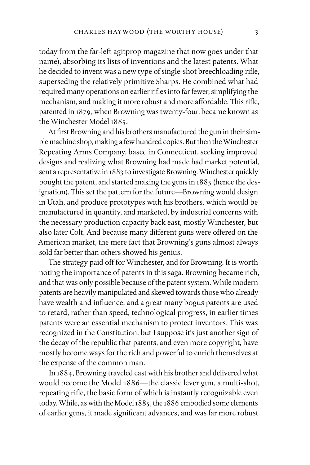today from the far-left agitprop magazine that now goes under that name), absorbing its lists of inventions and the latest patents. What he decided to invent was a new type of single-shot breechloading rifle, superseding the relatively primitive Sharps. He combined what had required many operations on earlier rifles into far fewer, simplifying the mechanism, and making it more robust and more affordable. This rifle, patented in 1879, when Browning was twenty-four, became known as the Winchester Model 1885.

At first Browning and his brothers manufactured the gun in their simple machine shop, making a few hundred copies. But then the Winchester Repeating Arms Company, based in Connecticut, seeking improved designs and realizing what Browning had made had market potential, sent a representative in 1883 to investigate Browning. Winchester quickly bought the patent, and started making the guns in 1885 (hence the designation). This set the pattern for the future—Browning would design in Utah, and produce prototypes with his brothers, which would be manufactured in quantity, and marketed, by industrial concerns with the necessary production capacity back east, mostly Winchester, but also later Colt. And because many different guns were offered on the American market, the mere fact that Browning's guns almost always sold far better than others showed his genius.

The strategy paid off for Winchester, and for Browning. It is worth noting the importance of patents in this saga. Browning became rich, and that was only possible because of the patent system. While modern patents are heavily manipulated and skewed towards those who already have wealth and influence, and a great many bogus patents are used to retard, rather than speed, technological progress, in earlier times patents were an essential mechanism to protect inventors. This was recognized in the Constitution, but I suppose it's just another sign of the decay of the republic that patents, and even more copyright, have mostly become ways for the rich and powerful to enrich themselves at the expense of the common man.

In 1884, Browning traveled east with his brother and delivered what would become the Model 1886—the classic lever gun, a multi-shot, repeating rifle, the basic form of which is instantly recognizable even today. While, as with the Model 1885, the 1886 embodied some elements of earlier guns, it made significant advances, and was far more robust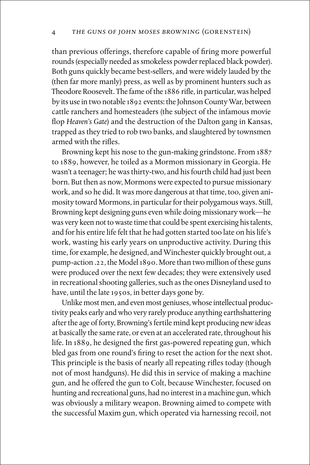than previous offerings, therefore capable of firing more powerful rounds (especially needed as smokeless powder replaced black powder). Both guns quickly became best-sellers, and were widely lauded by the (then far more manly) press, as well as by prominent hunters such as Theodore Roosevelt. The fame of the 1886 rifle, in particular, was helped by its use in two notable 1892 events: the Johnson County War, between cattle ranchers and homesteaders (the subject of the infamous movie flop *Heaven's Gate*) and the destruction of the Dalton gang in Kansas, trapped as they tried to rob two banks, and slaughtered by townsmen armed with the rifles.

Browning kept his nose to the gun-making grindstone. From 1887 to 1889, however, he toiled as a Mormon missionary in Georgia. He wasn't a teenager; he was thirty-two, and his fourth child had just been born. But then as now, Mormons were expected to pursue missionary work, and so he did. It was more dangerous at that time, too, given animosity toward Mormons, in particular for their polygamous ways. Still, Browning kept designing guns even while doing missionary work—he was very keen not to waste time that could be spent exercising his talents, and for his entire life felt that he had gotten started too late on his life's work, wasting his early years on unproductive activity. During this time, for example, he designed, and Winchester quickly brought out, a pump-action .22, the Model 1890. More than two million of these guns were produced over the next few decades; they were extensively used in recreational shooting galleries, such as the ones Disneyland used to have, until the late 1950s, in better days gone by.

Unlike most men, and even most geniuses, whose intellectual productivity peaks early and who very rarely produce anything earthshattering after the age of forty, Browning's fertile mind kept producing new ideas at basically the same rate, or even at an accelerated rate, throughout his life. In 1889, he designed the first gas-powered repeating gun, which bled gas from one round's firing to reset the action for the next shot. This principle is the basis of nearly all repeating rifles today (though not of most handguns). He did this in service of making a machine gun, and he offered the gun to Colt, because Winchester, focused on hunting and recreational guns, had no interest in a machine gun, which was obviously a military weapon. Browning aimed to compete with the successful Maxim gun, which operated via harnessing recoil, not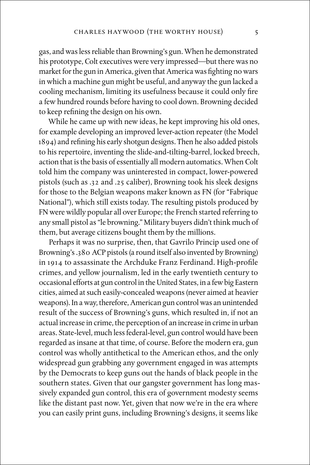gas, and was less reliable than Browning's gun. When he demonstrated his prototype, Colt executives were very impressed—but there was no market for the gun in America, given that America was fighting no wars in which a machine gun might be useful, and anyway the gun lacked a cooling mechanism, limiting its usefulness because it could only fire a few hundred rounds before having to cool down. Browning decided to keep refining the design on his own.

While he came up with new ideas, he kept improving his old ones, for example developing an improved lever-action repeater (the Model 1894) and refining his early shotgun designs. Then he also added pistols to his repertoire, inventing the slide-and-tilting-barrel, locked breech, action that is the basis of essentially all modern automatics. When Colt told him the company was uninterested in compact, lower-powered pistols (such as .32 and .25 caliber), Browning took his sleek designs for those to the Belgian weapons maker known as FN (for "Fabrique National"), which still exists today. The resulting pistols produced by FN were wildly popular all over Europe; the French started referring to any small pistol as "le browning." Military buyers didn't think much of them, but average citizens bought them by the millions.

Perhaps it was no surprise, then, that Gavrilo Princip used one of Browning's .380 ACP pistols (a round itself also invented by Browning) in 1914 to assassinate the Archduke Franz Ferdinand. High-profile crimes, and yellow journalism, led in the early twentieth century to occasional efforts at gun control in the United States, in a few big Eastern cities, aimed at such easily-concealed weapons (never aimed at heavier weapons). In a way, therefore, American gun control was an unintended result of the success of Browning's guns, which resulted in, if not an actual increase in crime, the perception of an increase in crime in urban areas. State-level, much less federal-level, gun control would have been regarded as insane at that time, of course. Before the modern era, gun control was wholly antithetical to the American ethos, and the only widespread gun grabbing any government engaged in was attempts by the Democrats to keep guns out the hands of black people in the southern states. Given that our gangster government has long massively expanded gun control, this era of government modesty seems like the distant past now. Yet, given that now we're in the era where you can easily print guns, including Browning's designs, it seems like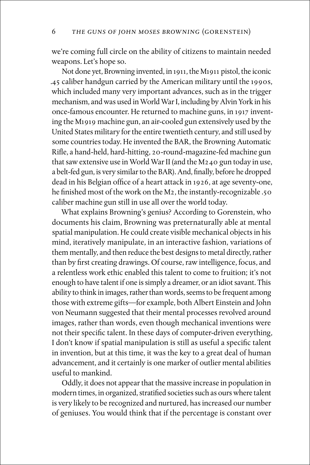we're coming full circle on the ability of citizens to maintain needed weapons. Let's hope so.

Not done yet, Browning invented, in 1911, the M1911 pistol, the iconic .45 caliber handgun carried by the American military until the 1990s, which included many very important advances, such as in the trigger mechanism, and was used in World War I, including by Alvin York in his once-famous encounter. He returned to machine guns, in 1917 inventing the M1919 machine gun, an air-cooled gun extensively used by the United States military for the entire twentieth century, and still used by some countries today. He invented the BAR, the Browning Automatic Rifle, a hand-held, hard-hitting, 20-round-magazine-fed machine gun that saw extensive use in World War II (and the M240 gun today in use, a belt-fed gun, is very similar to the BAR). And, finally, before he dropped dead in his Belgian office of a heart attack in 1926, at age seventy-one, he finished most of the work on the M2, the instantly-recognizable .50 caliber machine gun still in use all over the world today.

What explains Browning's genius? According to Gorenstein, who documents his claim, Browning was preternaturally able at mental spatial manipulation. He could create visible mechanical objects in his mind, iteratively manipulate, in an interactive fashion, variations of them mentally, and then reduce the best designs to metal directly, rather than by first creating drawings. Of course, raw intelligence, focus, and a relentless work ethic enabled this talent to come to fruition; it's not enough to have talent if one is simply a dreamer, or an idiot savant. This ability to think in images, rather than words, seems to be frequent among those with extreme gifts—for example, both Albert Einstein and John von Neumann suggested that their mental processes revolved around images, rather than words, even though mechanical inventions were not their specific talent. In these days of computer-driven everything, I don't know if spatial manipulation is still as useful a specific talent in invention, but at this time, it was the key to a great deal of human advancement, and it certainly is one marker of outlier mental abilities useful to mankind.

Oddly, it does not appear that the massive increase in population in modern times, in organized, stratified societies such as ours where talent is very likely to be recognized and nurtured, has increased our number of geniuses. You would think that if the percentage is constant over